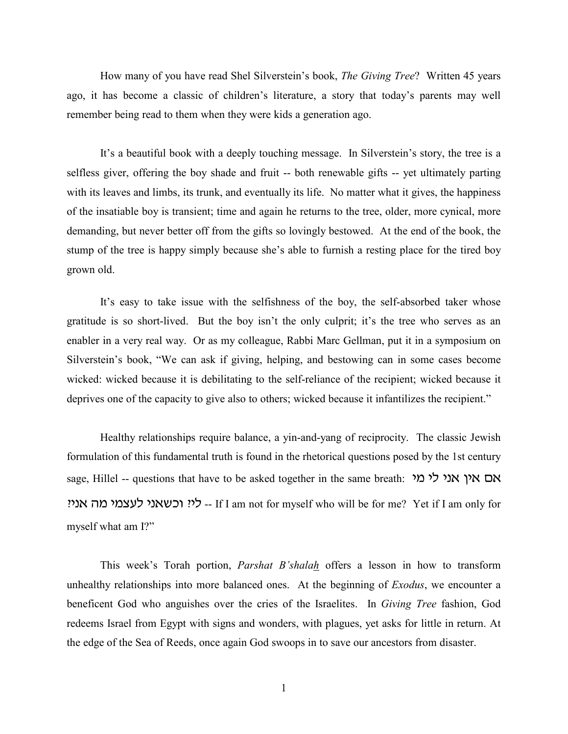How many of you have read Shel Silverstein's book, *The Giving Tree*? Written 45 years ago, it has become a classic of children's literature, a story that today's parents may well remember being read to them when they were kids a generation ago.

It's a beautiful book with a deeply touching message. In Silverstein's story, the tree is a selfless giver, offering the boy shade and fruit -- both renewable gifts -- yet ultimately parting with its leaves and limbs, its trunk, and eventually its life. No matter what it gives, the happiness of the insatiable boy is transient; time and again he returns to the tree, older, more cynical, more demanding, but never better off from the gifts so lovingly bestowed. At the end of the book, the stump of the tree is happy simply because she's able to furnish a resting place for the tired boy grown old.

It's easy to take issue with the selfishness of the boy, the self-absorbed taker whose gratitude is so short-lived. But the boy isn't the only culprit; it's the tree who serves as an enabler in a very real way. Or as my colleague, Rabbi Marc Gellman, put it in a symposium on Silverstein's book, "We can ask if giving, helping, and bestowing can in some cases become wicked: wicked because it is debilitating to the self-reliance of the recipient; wicked because it deprives one of the capacity to give also to others; wicked because it infantilizes the recipient."

Healthy relationships require balance, a yin-and-yang of reciprocity. The classic Jewish formulation of this fundamental truth is found in the rhetorical questions posed by the 1st century sage, Hillel -- questions that have to be asked together in the same breath: אם אין אני לי מי י: וכשאני לעצמי מה אני? If I am not for myself who will be for me? Yet if I am only for myself what am I?"

This week's Torah portion, *Parshat B'shalah* offers a lesson in how to transform unhealthy relationships into more balanced ones. At the beginning of *Exodus*, we encounter a beneficent God who anguishes over the cries of the Israelites. In *Giving Tree* fashion, God redeems Israel from Egypt with signs and wonders, with plagues, yet asks for little in return. At the edge of the Sea of Reeds, once again God swoops in to save our ancestors from disaster.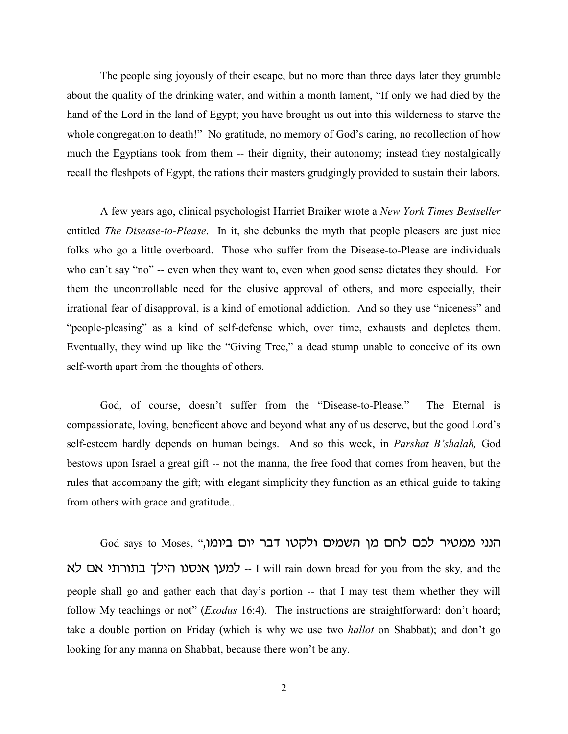The people sing joyously of their escape, but no more than three days later they grumble about the quality of the drinking water, and within a month lament, "If only we had died by the hand of the Lord in the land of Egypt; you have brought us out into this wilderness to starve the whole congregation to death!" No gratitude, no memory of God's caring, no recollection of how much the Egyptians took from them -- their dignity, their autonomy; instead they nostalgically recall the fleshpots of Egypt, the rations their masters grudgingly provided to sustain their labors.

A few years ago, clinical psychologist Harriet Braiker wrote a *New York Times Bestseller* entitled *The Disease-to-Please*. In it, she debunks the myth that people pleasers are just nice folks who go a little overboard. Those who suffer from the Disease-to-Please are individuals who can't say "no" -- even when they want to, even when good sense dictates they should. For them the uncontrollable need for the elusive approval of others, and more especially, their irrational fear of disapproval, is a kind of emotional addiction. And so they use "niceness" and "people-pleasing" as a kind of self-defense which, over time, exhausts and depletes them. Eventually, they wind up like the "Giving Tree," a dead stump unable to conceive of its own self-worth apart from the thoughts of others.

God, of course, doesn't suffer from the "Disease-to-Please." The Eternal is compassionate, loving, beneficent above and beyond what any of us deserve, but the good Lord's self-esteem hardly depends on human beings. And so this week, in *Parshat B'shalah,* God bestows upon Israel a great gift -- not the manna, the free food that comes from heaven, but the rules that accompany the gift; with elegant simplicity they function as an ethical guide to taking from others with grace and gratitude..

God says to Moses, "הנני ממטיר לכם לחם מן השמים ולקטו דבר יום ביומו, למען אנסנו הילך בתורתי אם לא -- I will rain down bread for you from the sky, and the people shall go and gather each that day's portion -- that I may test them whether they will follow My teachings or not" (*Exodus* 16:4). The instructions are straightforward: don't hoard; take a double portion on Friday (which is why we use two *hallot* on Shabbat); and don't go looking for any manna on Shabbat, because there won't be any.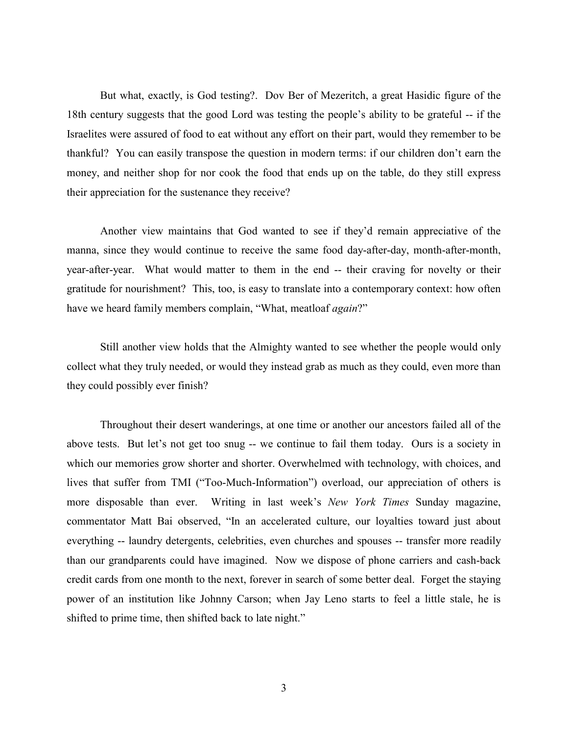But what, exactly, is God testing?. Dov Ber of Mezeritch, a great Hasidic figure of the 18th century suggests that the good Lord was testing the people's ability to be grateful -- if the Israelites were assured of food to eat without any effort on their part, would they remember to be thankful? You can easily transpose the question in modern terms: if our children don't earn the money, and neither shop for nor cook the food that ends up on the table, do they still express their appreciation for the sustenance they receive?

Another view maintains that God wanted to see if they'd remain appreciative of the manna, since they would continue to receive the same food day-after-day, month-after-month, year-after-year. What would matter to them in the end -- their craving for novelty or their gratitude for nourishment? This, too, is easy to translate into a contemporary context: how often have we heard family members complain, "What, meatloaf *again*?"

Still another view holds that the Almighty wanted to see whether the people would only collect what they truly needed, or would they instead grab as much as they could, even more than they could possibly ever finish?

Throughout their desert wanderings, at one time or another our ancestors failed all of the above tests. But let's not get too snug -- we continue to fail them today. Ours is a society in which our memories grow shorter and shorter. Overwhelmed with technology, with choices, and lives that suffer from TMI ("Too-Much-Information") overload, our appreciation of others is more disposable than ever. Writing in last week's *New York Times* Sunday magazine, commentator Matt Bai observed, "In an accelerated culture, our loyalties toward just about everything -- laundry detergents, celebrities, even churches and spouses -- transfer more readily than our grandparents could have imagined. Now we dispose of phone carriers and cash-back credit cards from one month to the next, forever in search of some better deal. Forget the staying power of an institution like Johnny Carson; when Jay Leno starts to feel a little stale, he is shifted to prime time, then shifted back to late night."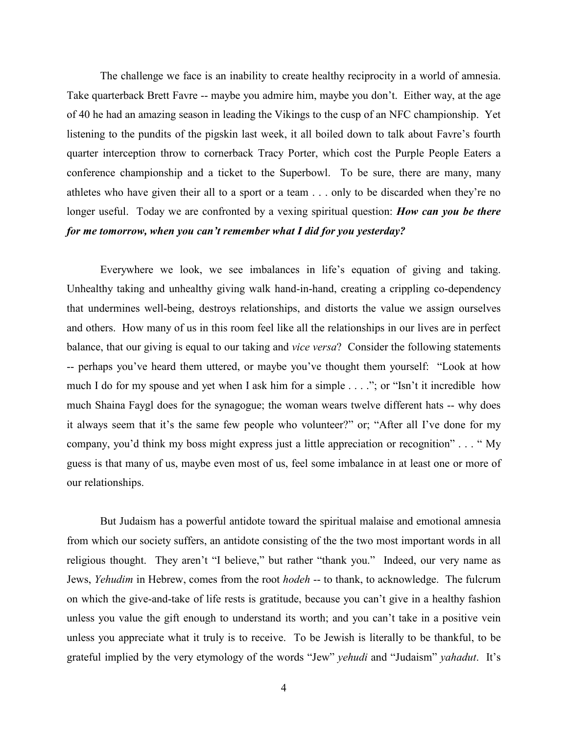The challenge we face is an inability to create healthy reciprocity in a world of amnesia. Take quarterback Brett Favre -- maybe you admire him, maybe you don't. Either way, at the age of 40 he had an amazing season in leading the Vikings to the cusp of an NFC championship. Yet listening to the pundits of the pigskin last week, it all boiled down to talk about Favre's fourth quarter interception throw to cornerback Tracy Porter, which cost the Purple People Eaters a conference championship and a ticket to the Superbowl. To be sure, there are many, many athletes who have given their all to a sport or a team . . . only to be discarded when they're no longer useful. Today we are confronted by a vexing spiritual question: *How can you be there for me tomorrow, when you can't remember what I did for you yesterday?*

Everywhere we look, we see imbalances in life's equation of giving and taking. Unhealthy taking and unhealthy giving walk hand-in-hand, creating a crippling co-dependency that undermines well-being, destroys relationships, and distorts the value we assign ourselves and others. How many of us in this room feel like all the relationships in our lives are in perfect balance, that our giving is equal to our taking and *vice versa*? Consider the following statements -- perhaps you've heard them uttered, or maybe you've thought them yourself: "Look at how much I do for my spouse and yet when I ask him for a simple . . . ."; or "Isn't it incredible how much Shaina Faygl does for the synagogue; the woman wears twelve different hats -- why does it always seem that it's the same few people who volunteer?" or; "After all I've done for my company, you'd think my boss might express just a little appreciation or recognition" . . . " My guess is that many of us, maybe even most of us, feel some imbalance in at least one or more of our relationships.

But Judaism has a powerful antidote toward the spiritual malaise and emotional amnesia from which our society suffers, an antidote consisting of the the two most important words in all religious thought. They aren't "I believe," but rather "thank you." Indeed, our very name as Jews, *Yehudim* in Hebrew, comes from the root *hodeh* -- to thank, to acknowledge. The fulcrum on which the give-and-take of life rests is gratitude, because you can't give in a healthy fashion unless you value the gift enough to understand its worth; and you can't take in a positive vein unless you appreciate what it truly is to receive. To be Jewish is literally to be thankful, to be grateful implied by the very etymology of the words "Jew" *yehudi* and "Judaism" *yahadut*. It's